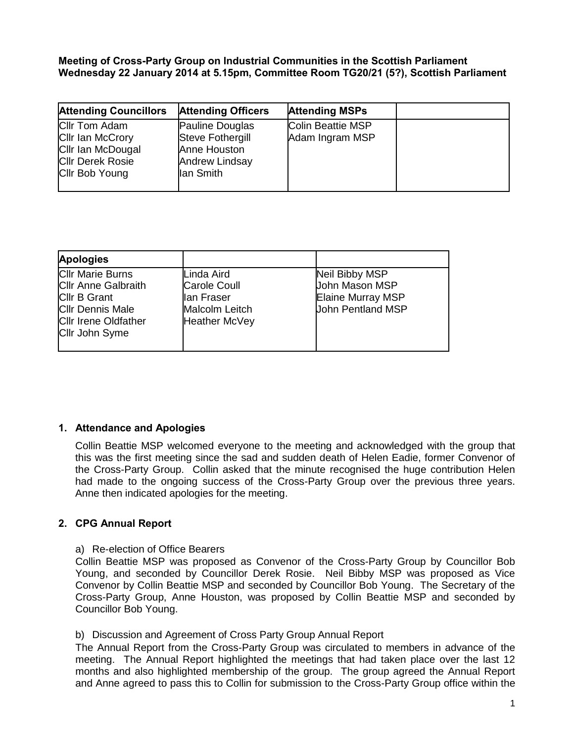**Meeting of Cross-Party Group on lndustrial Communities in the Scottish Parliament Wednesday 22 January 2014 at 5.15pm, Committee Room TG20/21 (5?), Scottish Parliament**

| <b>Attending Councillors</b> | <b>Attending Officers</b> | <b>Attending MSPs</b> |  |
|------------------------------|---------------------------|-----------------------|--|
| <b>Cllr Tom Adam</b>         | Pauline Douglas           | Colin Beattie MSP     |  |
| <b>Cllr Ian McCrory</b>      | <b>Steve Fothergill</b>   | Adam Ingram MSP       |  |
| <b>Cllr Ian McDougal</b>     | Anne Houston              |                       |  |
| <b>Cllr Derek Rosie</b>      | <b>Andrew Lindsay</b>     |                       |  |
| Cllr Bob Young               | lan Smith                 |                       |  |
|                              |                           |                       |  |

| <b>Apologies</b>                                                                                                                                         |                                                                                           |                                                                                          |
|----------------------------------------------------------------------------------------------------------------------------------------------------------|-------------------------------------------------------------------------------------------|------------------------------------------------------------------------------------------|
| <b>Cllr Marie Burns</b><br><b>Cllr Anne Galbraith</b><br><b>Cllr B Grant</b><br><b>Cllr Dennis Male</b><br><b>Cllr Irene Oldfather</b><br>Cllr John Syme | Linda Aird<br><b>Carole Coull</b><br>lan Fraser<br>Malcolm Leitch<br><b>Heather McVey</b> | Neil Bibby MSP<br><b>John Mason MSP</b><br>Elaine Murray MSP<br><b>John Pentland MSP</b> |

# **1. Attendance and Apologies**

Collin Beattie MSP welcomed everyone to the meeting and acknowledged with the group that this was the first meeting since the sad and sudden death of Helen Eadie, former Convenor of the Cross-Party Group. Collin asked that the minute recognised the huge contribution Helen had made to the ongoing success of the Cross-Party Group over the previous three years. Anne then indicated apologies for the meeting.

# **2. CPG Annual Report**

#### a) Re-election of Office Bearers

Collin Beattie MSP was proposed as Convenor of the Cross-Party Group by Councillor Bob Young, and seconded by Councillor Derek Rosie. Neil Bibby MSP was proposed as Vice Convenor by Collin Beattie MSP and seconded by Councillor Bob Young. The Secretary of the Cross-Party Group, Anne Houston, was proposed by Collin Beattie MSP and seconded by Councillor Bob Young.

#### b) Discussion and Agreement of Cross Party Group Annual Report

The Annual Report from the Cross-Party Group was circulated to members in advance of the meeting. The Annual Report highlighted the meetings that had taken place over the last 12 months and also highlighted membership of the group. The group agreed the Annual Report and Anne agreed to pass this to Collin for submission to the Cross-Party Group office within the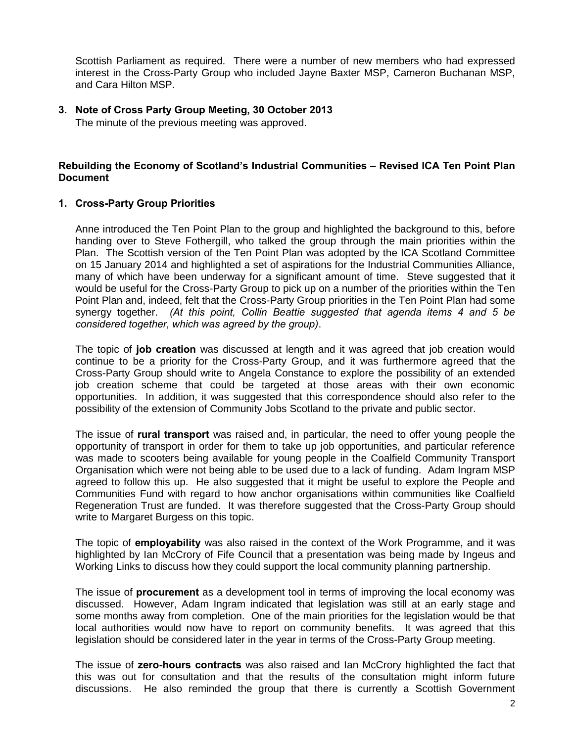Scottish Parliament as required. There were a number of new members who had expressed interest in the Cross-Party Group who included Jayne Baxter MSP, Cameron Buchanan MSP, and Cara Hilton MSP.

## **3. Note of Cross Party Group Meeting, 30 October 2013**

The minute of the previous meeting was approved.

# **Rebuilding the Economy of Scotland's Industrial Communities – Revised ICA Ten Point Plan Document**

### **1. Cross-Party Group Priorities**

Anne introduced the Ten Point Plan to the group and highlighted the background to this, before handing over to Steve Fothergill, who talked the group through the main priorities within the Plan. The Scottish version of the Ten Point Plan was adopted by the ICA Scotland Committee on 15 January 2014 and highlighted a set of aspirations for the Industrial Communities Alliance, many of which have been underway for a significant amount of time. Steve suggested that it would be useful for the Cross-Party Group to pick up on a number of the priorities within the Ten Point Plan and, indeed, felt that the Cross-Party Group priorities in the Ten Point Plan had some synergy together. *(At this point, Collin Beattie suggested that agenda items 4 and 5 be considered together, which was agreed by the group)*.

The topic of **job creation** was discussed at length and it was agreed that job creation would continue to be a priority for the Cross-Party Group, and it was furthermore agreed that the Cross-Party Group should write to Angela Constance to explore the possibility of an extended job creation scheme that could be targeted at those areas with their own economic opportunities. In addition, it was suggested that this correspondence should also refer to the possibility of the extension of Community Jobs Scotland to the private and public sector.

The issue of **rural transport** was raised and, in particular, the need to offer young people the opportunity of transport in order for them to take up job opportunities, and particular reference was made to scooters being available for young people in the Coalfield Community Transport Organisation which were not being able to be used due to a lack of funding. Adam Ingram MSP agreed to follow this up. He also suggested that it might be useful to explore the People and Communities Fund with regard to how anchor organisations within communities like Coalfield Regeneration Trust are funded. It was therefore suggested that the Cross-Party Group should write to Margaret Burgess on this topic.

The topic of **employability** was also raised in the context of the Work Programme, and it was highlighted by Ian McCrory of Fife Council that a presentation was being made by Ingeus and Working Links to discuss how they could support the local community planning partnership.

The issue of **procurement** as a development tool in terms of improving the local economy was discussed. However, Adam Ingram indicated that legislation was still at an early stage and some months away from completion. One of the main priorities for the legislation would be that local authorities would now have to report on community benefits. It was agreed that this legislation should be considered later in the year in terms of the Cross-Party Group meeting.

The issue of **zero-hours contracts** was also raised and Ian McCrory highlighted the fact that this was out for consultation and that the results of the consultation might inform future discussions. He also reminded the group that there is currently a Scottish Government